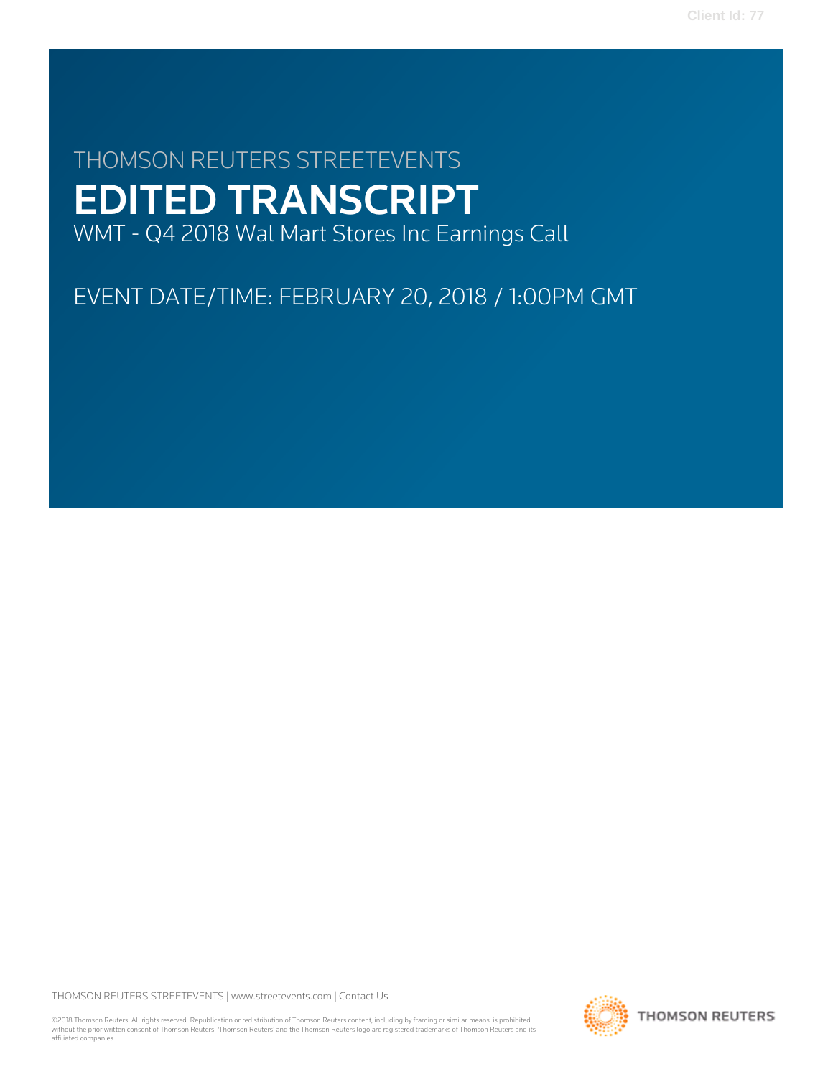# THOMSON REUTERS STREETEVENTS EDITED TRANSCRIPT WMT - Q4 2018 Wal Mart Stores Inc Earnings Call

EVENT DATE/TIME: FEBRUARY 20, 2018 / 1:00PM GMT

THOMSON REUTERS STREETEVENTS | [www.streetevents.com](http://www.streetevents.com) | [Contact Us](http://www010.streetevents.com/contact.asp)

©2018 Thomson Reuters. All rights reserved. Republication or redistribution of Thomson Reuters content, including by framing or similar means, is prohibited without the prior written consent of Thomson Reuters. 'Thomson Reuters' and the Thomson Reuters logo are registered trademarks of Thomson Reuters and its affiliated companies.

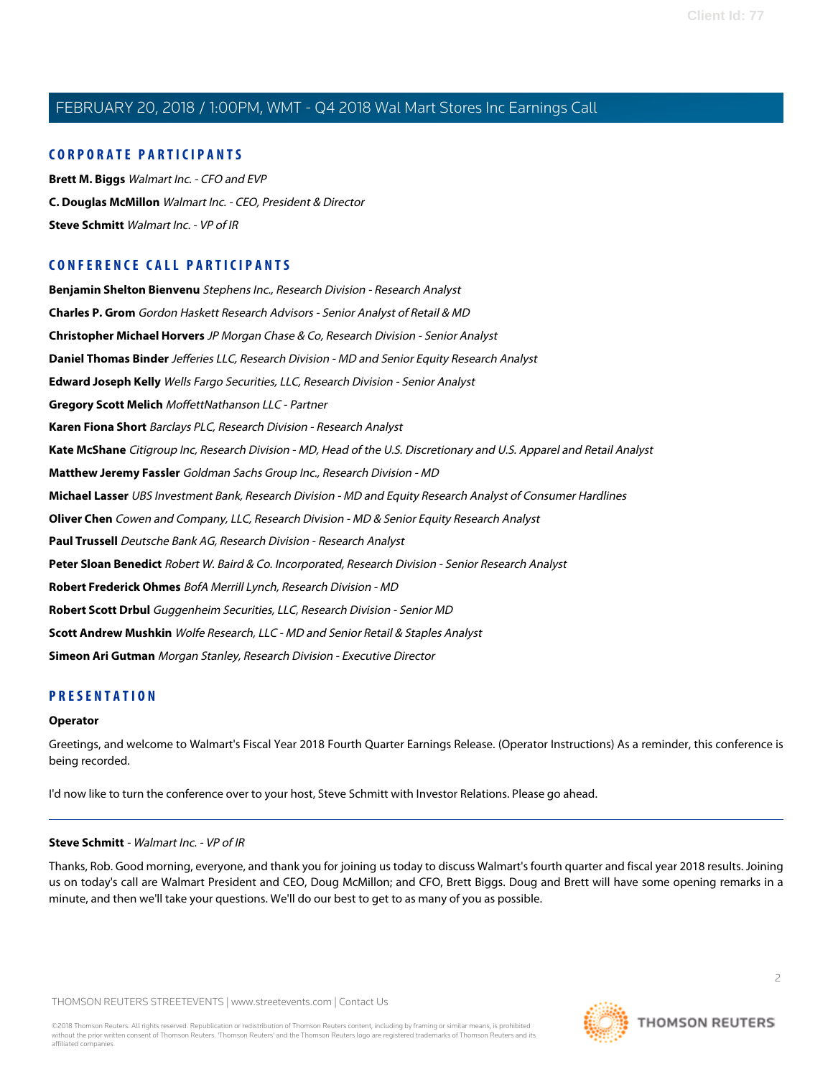# **CORPORATE PARTICIPANTS**

**[Brett M. Biggs](#page-4-0)** Walmart Inc. - CFO and EVP **[C. Douglas McMillon](#page-2-0)** Walmart Inc. - CEO, President & Director **[Steve Schmitt](#page-1-0)** Walmart Inc. - VP of IR

# **CONFERENCE CALL PARTICIPANTS**

**[Benjamin Shelton Bienvenu](#page-14-0)** Stephens Inc., Research Division - Research Analyst **[Charles P. Grom](#page-17-0)** Gordon Haskett Research Advisors - Senior Analyst of Retail & MD **[Christopher Michael Horvers](#page-10-0)** JP Morgan Chase & Co, Research Division - Senior Analyst **[Daniel Thomas Binder](#page-13-0)** Jefferies LLC, Research Division - MD and Senior Equity Research Analyst **[Edward Joseph Kelly](#page-17-1)** Wells Fargo Securities, LLC, Research Division - Senior Analyst **[Gregory Scott Melich](#page-16-0)** MoffettNathanson LLC - Partner **[Karen Fiona Short](#page-8-0)** Barclays PLC, Research Division - Research Analyst **[Kate McShane](#page-13-1)** Citigroup Inc, Research Division - MD, Head of the U.S. Discretionary and U.S. Apparel and Retail Analyst **[Matthew Jeremy Fassler](#page-12-0)** Goldman Sachs Group Inc., Research Division - MD **[Michael Lasser](#page-11-0)** UBS Investment Bank, Research Division - MD and Equity Research Analyst of Consumer Hardlines **[Oliver Chen](#page-9-0)** Cowen and Company, LLC, Research Division - MD & Senior Equity Research Analyst **[Paul Trussell](#page-14-1)** Deutsche Bank AG, Research Division - Research Analyst **[Peter Sloan Benedict](#page-15-0)** Robert W. Baird & Co. Incorporated, Research Division - Senior Research Analyst **[Robert Frederick Ohmes](#page-7-0)** BofA Merrill Lynch, Research Division - MD **[Robert Scott Drbul](#page-15-1)** Guggenheim Securities, LLC, Research Division - Senior MD **[Scott Andrew Mushkin](#page-11-1)** Wolfe Research, LLC - MD and Senior Retail & Staples Analyst **[Simeon Ari Gutman](#page-6-0)** Morgan Stanley, Research Division - Executive Director

# **PRESENTATION**

# **Operator**

<span id="page-1-0"></span>Greetings, and welcome to Walmart's Fiscal Year 2018 Fourth Quarter Earnings Release. (Operator Instructions) As a reminder, this conference is being recorded.

I'd now like to turn the conference over to your host, Steve Schmitt with Investor Relations. Please go ahead.

#### **Steve Schmitt** - Walmart Inc. - VP of IR

Thanks, Rob. Good morning, everyone, and thank you for joining us today to discuss Walmart's fourth quarter and fiscal year 2018 results. Joining us on today's call are Walmart President and CEO, Doug McMillon; and CFO, Brett Biggs. Doug and Brett will have some opening remarks in a minute, and then we'll take your questions. We'll do our best to get to as many of you as possible.

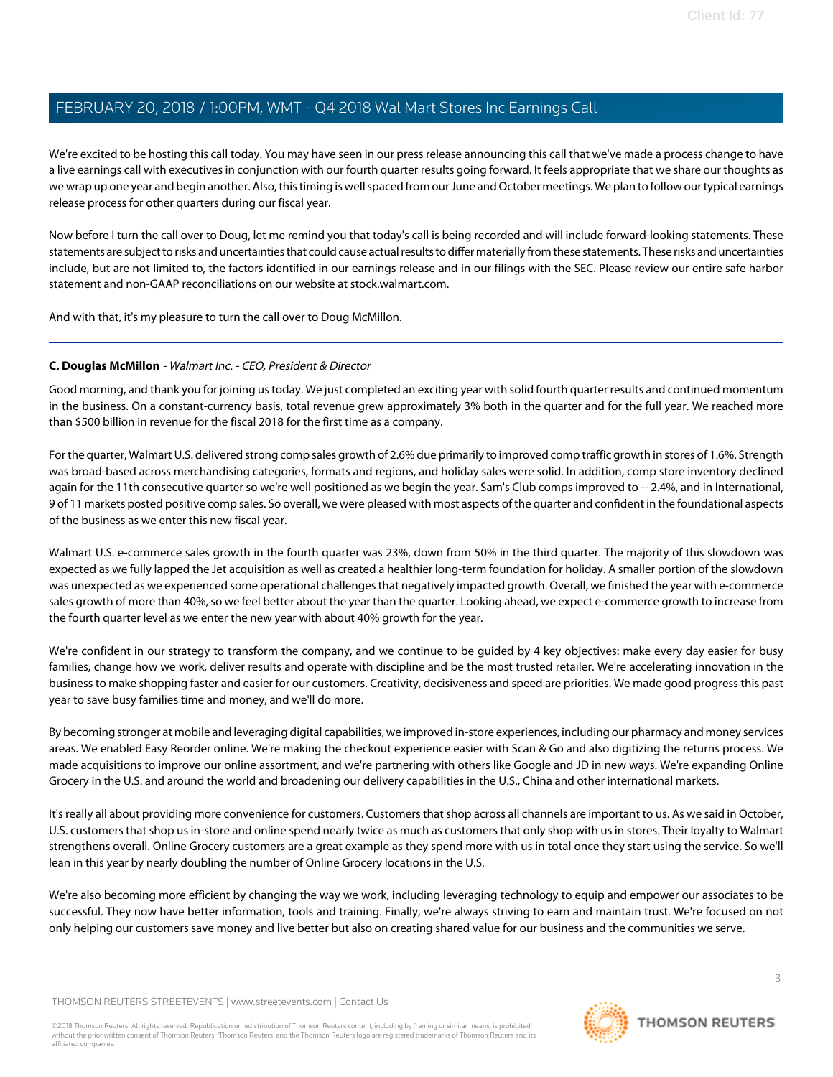We're excited to be hosting this call today. You may have seen in our press release announcing this call that we've made a process change to have a live earnings call with executives in conjunction with our fourth quarter results going forward. It feels appropriate that we share our thoughts as we wrap up one year and begin another. Also, this timing is well spaced from our June and October meetings. We plan to follow our typical earnings release process for other quarters during our fiscal year.

Now before I turn the call over to Doug, let me remind you that today's call is being recorded and will include forward-looking statements. These statements are subject to risks and uncertainties that could cause actual results to differ materially from these statements. These risks and uncertainties include, but are not limited to, the factors identified in our earnings release and in our filings with the SEC. Please review our entire safe harbor statement and non-GAAP reconciliations on our website at stock.walmart.com.

<span id="page-2-0"></span>And with that, it's my pleasure to turn the call over to Doug McMillon.

# **C. Douglas McMillon** - Walmart Inc. - CEO, President & Director

Good morning, and thank you for joining us today. We just completed an exciting year with solid fourth quarter results and continued momentum in the business. On a constant-currency basis, total revenue grew approximately 3% both in the quarter and for the full year. We reached more than \$500 billion in revenue for the fiscal 2018 for the first time as a company.

For the quarter, Walmart U.S. delivered strong comp sales growth of 2.6% due primarily to improved comp traffic growth in stores of 1.6%. Strength was broad-based across merchandising categories, formats and regions, and holiday sales were solid. In addition, comp store inventory declined again for the 11th consecutive quarter so we're well positioned as we begin the year. Sam's Club comps improved to -- 2.4%, and in International, 9 of 11 markets posted positive comp sales. So overall, we were pleased with most aspects of the quarter and confident in the foundational aspects of the business as we enter this new fiscal year.

Walmart U.S. e-commerce sales growth in the fourth quarter was 23%, down from 50% in the third quarter. The majority of this slowdown was expected as we fully lapped the Jet acquisition as well as created a healthier long-term foundation for holiday. A smaller portion of the slowdown was unexpected as we experienced some operational challenges that negatively impacted growth. Overall, we finished the year with e-commerce sales growth of more than 40%, so we feel better about the year than the quarter. Looking ahead, we expect e-commerce growth to increase from the fourth quarter level as we enter the new year with about 40% growth for the year.

We're confident in our strategy to transform the company, and we continue to be guided by 4 key objectives: make every day easier for busy families, change how we work, deliver results and operate with discipline and be the most trusted retailer. We're accelerating innovation in the business to make shopping faster and easier for our customers. Creativity, decisiveness and speed are priorities. We made good progress this past year to save busy families time and money, and we'll do more.

By becoming stronger at mobile and leveraging digital capabilities, we improved in-store experiences, including our pharmacy and money services areas. We enabled Easy Reorder online. We're making the checkout experience easier with Scan & Go and also digitizing the returns process. We made acquisitions to improve our online assortment, and we're partnering with others like Google and JD in new ways. We're expanding Online Grocery in the U.S. and around the world and broadening our delivery capabilities in the U.S., China and other international markets.

It's really all about providing more convenience for customers. Customers that shop across all channels are important to us. As we said in October, U.S. customers that shop us in-store and online spend nearly twice as much as customers that only shop with us in stores. Their loyalty to Walmart strengthens overall. Online Grocery customers are a great example as they spend more with us in total once they start using the service. So we'll lean in this year by nearly doubling the number of Online Grocery locations in the U.S.

We're also becoming more efficient by changing the way we work, including leveraging technology to equip and empower our associates to be successful. They now have better information, tools and training. Finally, we're always striving to earn and maintain trust. We're focused on not only helping our customers save money and live better but also on creating shared value for our business and the communities we serve.

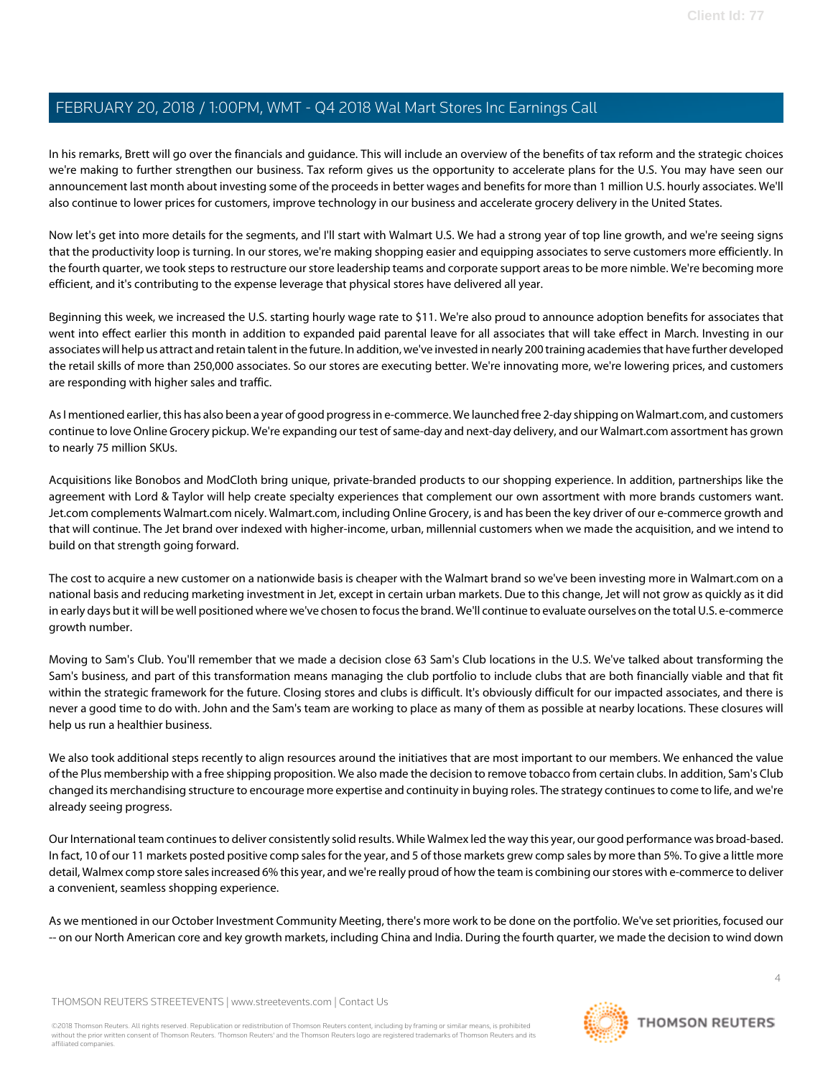In his remarks, Brett will go over the financials and guidance. This will include an overview of the benefits of tax reform and the strategic choices we're making to further strengthen our business. Tax reform gives us the opportunity to accelerate plans for the U.S. You may have seen our announcement last month about investing some of the proceeds in better wages and benefits for more than 1 million U.S. hourly associates. We'll also continue to lower prices for customers, improve technology in our business and accelerate grocery delivery in the United States.

Now let's get into more details for the segments, and I'll start with Walmart U.S. We had a strong year of top line growth, and we're seeing signs that the productivity loop is turning. In our stores, we're making shopping easier and equipping associates to serve customers more efficiently. In the fourth quarter, we took steps to restructure our store leadership teams and corporate support areas to be more nimble. We're becoming more efficient, and it's contributing to the expense leverage that physical stores have delivered all year.

Beginning this week, we increased the U.S. starting hourly wage rate to \$11. We're also proud to announce adoption benefits for associates that went into effect earlier this month in addition to expanded paid parental leave for all associates that will take effect in March. Investing in our associates will help us attract and retain talent in the future. In addition, we've invested in nearly 200 training academies that have further developed the retail skills of more than 250,000 associates. So our stores are executing better. We're innovating more, we're lowering prices, and customers are responding with higher sales and traffic.

As I mentioned earlier, this has also been a year of good progress in e-commerce. We launched free 2-day shipping on Walmart.com, and customers continue to love Online Grocery pickup. We're expanding our test of same-day and next-day delivery, and our Walmart.com assortment has grown to nearly 75 million SKUs.

Acquisitions like Bonobos and ModCloth bring unique, private-branded products to our shopping experience. In addition, partnerships like the agreement with Lord & Taylor will help create specialty experiences that complement our own assortment with more brands customers want. Jet.com complements Walmart.com nicely. Walmart.com, including Online Grocery, is and has been the key driver of our e-commerce growth and that will continue. The Jet brand over indexed with higher-income, urban, millennial customers when we made the acquisition, and we intend to build on that strength going forward.

The cost to acquire a new customer on a nationwide basis is cheaper with the Walmart brand so we've been investing more in Walmart.com on a national basis and reducing marketing investment in Jet, except in certain urban markets. Due to this change, Jet will not grow as quickly as it did in early days but it will be well positioned where we've chosen to focus the brand. We'll continue to evaluate ourselves on the total U.S. e-commerce growth number.

Moving to Sam's Club. You'll remember that we made a decision close 63 Sam's Club locations in the U.S. We've talked about transforming the Sam's business, and part of this transformation means managing the club portfolio to include clubs that are both financially viable and that fit within the strategic framework for the future. Closing stores and clubs is difficult. It's obviously difficult for our impacted associates, and there is never a good time to do with. John and the Sam's team are working to place as many of them as possible at nearby locations. These closures will help us run a healthier business.

We also took additional steps recently to align resources around the initiatives that are most important to our members. We enhanced the value of the Plus membership with a free shipping proposition. We also made the decision to remove tobacco from certain clubs. In addition, Sam's Club changed its merchandising structure to encourage more expertise and continuity in buying roles. The strategy continues to come to life, and we're already seeing progress.

Our International team continues to deliver consistently solid results. While Walmex led the way this year, our good performance was broad-based. In fact, 10 of our 11 markets posted positive comp sales for the year, and 5 of those markets grew comp sales by more than 5%. To give a little more detail, Walmex comp store sales increased 6% this year, and we're really proud of how the team is combining our stores with e-commerce to deliver a convenient, seamless shopping experience.

As we mentioned in our October Investment Community Meeting, there's more work to be done on the portfolio. We've set priorities, focused our -- on our North American core and key growth markets, including China and India. During the fourth quarter, we made the decision to wind down

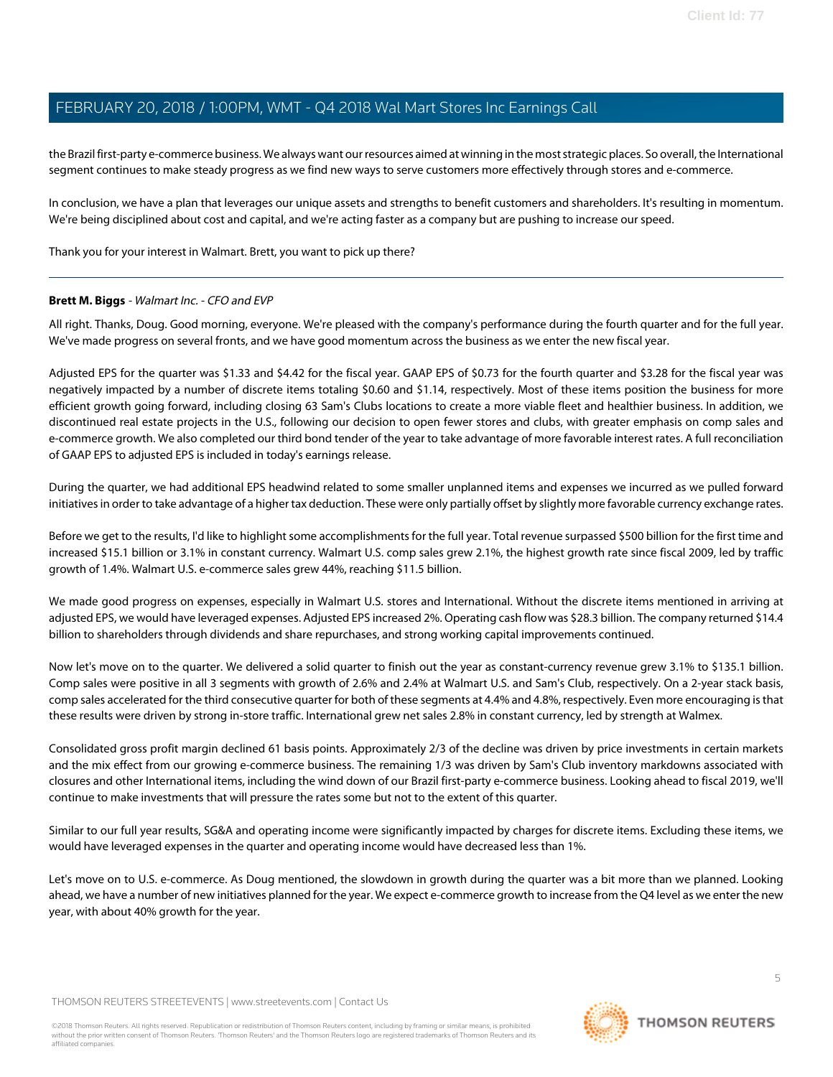the Brazil first-party e-commerce business. We always want our resources aimed at winning in the most strategic places. So overall, the International segment continues to make steady progress as we find new ways to serve customers more effectively through stores and e-commerce.

In conclusion, we have a plan that leverages our unique assets and strengths to benefit customers and shareholders. It's resulting in momentum. We're being disciplined about cost and capital, and we're acting faster as a company but are pushing to increase our speed.

<span id="page-4-0"></span>Thank you for your interest in Walmart. Brett, you want to pick up there?

# **Brett M. Biggs** - Walmart Inc. - CFO and EVP

All right. Thanks, Doug. Good morning, everyone. We're pleased with the company's performance during the fourth quarter and for the full year. We've made progress on several fronts, and we have good momentum across the business as we enter the new fiscal year.

Adjusted EPS for the quarter was \$1.33 and \$4.42 for the fiscal year. GAAP EPS of \$0.73 for the fourth quarter and \$3.28 for the fiscal year was negatively impacted by a number of discrete items totaling \$0.60 and \$1.14, respectively. Most of these items position the business for more efficient growth going forward, including closing 63 Sam's Clubs locations to create a more viable fleet and healthier business. In addition, we discontinued real estate projects in the U.S., following our decision to open fewer stores and clubs, with greater emphasis on comp sales and e-commerce growth. We also completed our third bond tender of the year to take advantage of more favorable interest rates. A full reconciliation of GAAP EPS to adjusted EPS is included in today's earnings release.

During the quarter, we had additional EPS headwind related to some smaller unplanned items and expenses we incurred as we pulled forward initiatives in order to take advantage of a higher tax deduction. These were only partially offset by slightly more favorable currency exchange rates.

Before we get to the results, I'd like to highlight some accomplishments for the full year. Total revenue surpassed \$500 billion for the first time and increased \$15.1 billion or 3.1% in constant currency. Walmart U.S. comp sales grew 2.1%, the highest growth rate since fiscal 2009, led by traffic growth of 1.4%. Walmart U.S. e-commerce sales grew 44%, reaching \$11.5 billion.

We made good progress on expenses, especially in Walmart U.S. stores and International. Without the discrete items mentioned in arriving at adjusted EPS, we would have leveraged expenses. Adjusted EPS increased 2%. Operating cash flow was \$28.3 billion. The company returned \$14.4 billion to shareholders through dividends and share repurchases, and strong working capital improvements continued.

Now let's move on to the quarter. We delivered a solid quarter to finish out the year as constant-currency revenue grew 3.1% to \$135.1 billion. Comp sales were positive in all 3 segments with growth of 2.6% and 2.4% at Walmart U.S. and Sam's Club, respectively. On a 2-year stack basis, comp sales accelerated for the third consecutive quarter for both of these segments at 4.4% and 4.8%, respectively. Even more encouraging is that these results were driven by strong in-store traffic. International grew net sales 2.8% in constant currency, led by strength at Walmex.

Consolidated gross profit margin declined 61 basis points. Approximately 2/3 of the decline was driven by price investments in certain markets and the mix effect from our growing e-commerce business. The remaining 1/3 was driven by Sam's Club inventory markdowns associated with closures and other International items, including the wind down of our Brazil first-party e-commerce business. Looking ahead to fiscal 2019, we'll continue to make investments that will pressure the rates some but not to the extent of this quarter.

Similar to our full year results, SG&A and operating income were significantly impacted by charges for discrete items. Excluding these items, we would have leveraged expenses in the quarter and operating income would have decreased less than 1%.

Let's move on to U.S. e-commerce. As Doug mentioned, the slowdown in growth during the quarter was a bit more than we planned. Looking ahead, we have a number of new initiatives planned for the year. We expect e-commerce growth to increase from the Q4 level as we enter the new year, with about 40% growth for the year.

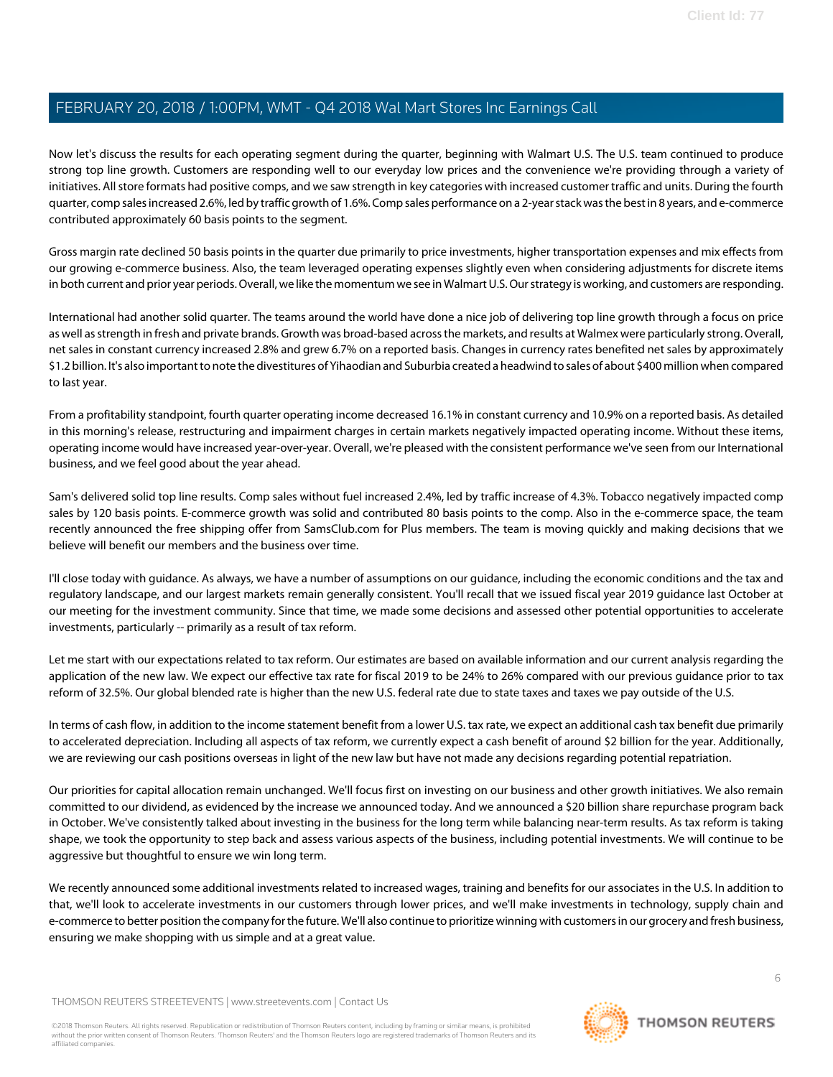Now let's discuss the results for each operating segment during the quarter, beginning with Walmart U.S. The U.S. team continued to produce strong top line growth. Customers are responding well to our everyday low prices and the convenience we're providing through a variety of initiatives. All store formats had positive comps, and we saw strength in key categories with increased customer traffic and units. During the fourth quarter, comp sales increased 2.6%, led by traffic growth of 1.6%. Comp sales performance on a 2-year stack was the best in 8 years, and e-commerce contributed approximately 60 basis points to the segment.

Gross margin rate declined 50 basis points in the quarter due primarily to price investments, higher transportation expenses and mix effects from our growing e-commerce business. Also, the team leveraged operating expenses slightly even when considering adjustments for discrete items in both current and prior year periods. Overall, we like the momentum we see in Walmart U.S. Our strategy is working, and customers are responding.

International had another solid quarter. The teams around the world have done a nice job of delivering top line growth through a focus on price as well as strength in fresh and private brands. Growth was broad-based across the markets, and results at Walmex were particularly strong. Overall, net sales in constant currency increased 2.8% and grew 6.7% on a reported basis. Changes in currency rates benefited net sales by approximately \$1.2 billion. It's also important to note the divestitures of Yihaodian and Suburbia created a headwind to sales of about \$400 million when compared to last year.

From a profitability standpoint, fourth quarter operating income decreased 16.1% in constant currency and 10.9% on a reported basis. As detailed in this morning's release, restructuring and impairment charges in certain markets negatively impacted operating income. Without these items, operating income would have increased year-over-year. Overall, we're pleased with the consistent performance we've seen from our International business, and we feel good about the year ahead.

Sam's delivered solid top line results. Comp sales without fuel increased 2.4%, led by traffic increase of 4.3%. Tobacco negatively impacted comp sales by 120 basis points. E-commerce growth was solid and contributed 80 basis points to the comp. Also in the e-commerce space, the team recently announced the free shipping offer from SamsClub.com for Plus members. The team is moving quickly and making decisions that we believe will benefit our members and the business over time.

I'll close today with guidance. As always, we have a number of assumptions on our guidance, including the economic conditions and the tax and regulatory landscape, and our largest markets remain generally consistent. You'll recall that we issued fiscal year 2019 guidance last October at our meeting for the investment community. Since that time, we made some decisions and assessed other potential opportunities to accelerate investments, particularly -- primarily as a result of tax reform.

Let me start with our expectations related to tax reform. Our estimates are based on available information and our current analysis regarding the application of the new law. We expect our effective tax rate for fiscal 2019 to be 24% to 26% compared with our previous guidance prior to tax reform of 32.5%. Our global blended rate is higher than the new U.S. federal rate due to state taxes and taxes we pay outside of the U.S.

In terms of cash flow, in addition to the income statement benefit from a lower U.S. tax rate, we expect an additional cash tax benefit due primarily to accelerated depreciation. Including all aspects of tax reform, we currently expect a cash benefit of around \$2 billion for the year. Additionally, we are reviewing our cash positions overseas in light of the new law but have not made any decisions regarding potential repatriation.

Our priorities for capital allocation remain unchanged. We'll focus first on investing on our business and other growth initiatives. We also remain committed to our dividend, as evidenced by the increase we announced today. And we announced a \$20 billion share repurchase program back in October. We've consistently talked about investing in the business for the long term while balancing near-term results. As tax reform is taking shape, we took the opportunity to step back and assess various aspects of the business, including potential investments. We will continue to be aggressive but thoughtful to ensure we win long term.

We recently announced some additional investments related to increased wages, training and benefits for our associates in the U.S. In addition to that, we'll look to accelerate investments in our customers through lower prices, and we'll make investments in technology, supply chain and e-commerce to better position the company for the future. We'll also continue to prioritize winning with customers in our grocery and fresh business, ensuring we make shopping with us simple and at a great value.

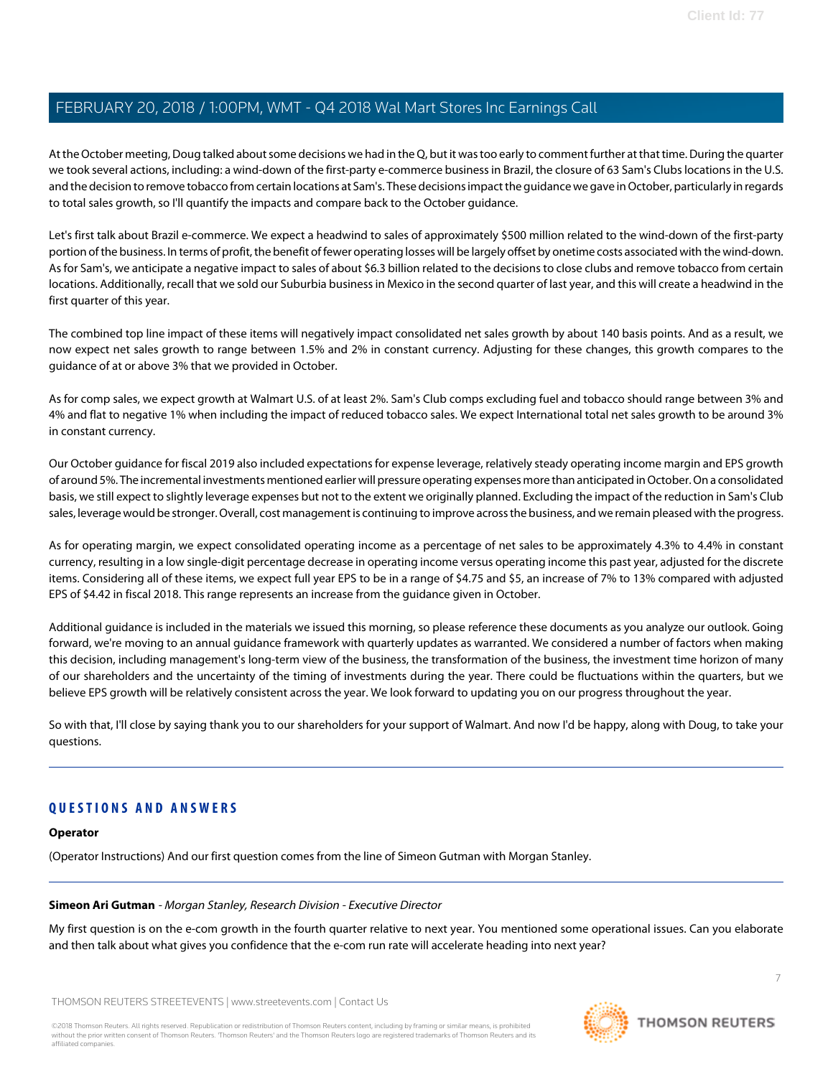At the October meeting, Doug talked about some decisions we had in the Q, but it was too early to comment further at that time. During the quarter we took several actions, including: a wind-down of the first-party e-commerce business in Brazil, the closure of 63 Sam's Clubs locations in the U.S. and the decision to remove tobacco from certain locations at Sam's. These decisions impact the guidance we gave in October, particularly in regards to total sales growth, so I'll quantify the impacts and compare back to the October guidance.

Let's first talk about Brazil e-commerce. We expect a headwind to sales of approximately \$500 million related to the wind-down of the first-party portion of the business. In terms of profit, the benefit of fewer operating losses will be largely offset by onetime costs associated with the wind-down. As for Sam's, we anticipate a negative impact to sales of about \$6.3 billion related to the decisions to close clubs and remove tobacco from certain locations. Additionally, recall that we sold our Suburbia business in Mexico in the second quarter of last year, and this will create a headwind in the first quarter of this year.

The combined top line impact of these items will negatively impact consolidated net sales growth by about 140 basis points. And as a result, we now expect net sales growth to range between 1.5% and 2% in constant currency. Adjusting for these changes, this growth compares to the guidance of at or above 3% that we provided in October.

As for comp sales, we expect growth at Walmart U.S. of at least 2%. Sam's Club comps excluding fuel and tobacco should range between 3% and 4% and flat to negative 1% when including the impact of reduced tobacco sales. We expect International total net sales growth to be around 3% in constant currency.

Our October guidance for fiscal 2019 also included expectations for expense leverage, relatively steady operating income margin and EPS growth of around 5%. The incremental investments mentioned earlier will pressure operating expenses more than anticipated in October. On a consolidated basis, we still expect to slightly leverage expenses but not to the extent we originally planned. Excluding the impact of the reduction in Sam's Club sales, leverage would be stronger. Overall, cost management is continuing to improve across the business, and we remain pleased with the progress.

As for operating margin, we expect consolidated operating income as a percentage of net sales to be approximately 4.3% to 4.4% in constant currency, resulting in a low single-digit percentage decrease in operating income versus operating income this past year, adjusted for the discrete items. Considering all of these items, we expect full year EPS to be in a range of \$4.75 and \$5, an increase of 7% to 13% compared with adjusted EPS of \$4.42 in fiscal 2018. This range represents an increase from the guidance given in October.

Additional guidance is included in the materials we issued this morning, so please reference these documents as you analyze our outlook. Going forward, we're moving to an annual guidance framework with quarterly updates as warranted. We considered a number of factors when making this decision, including management's long-term view of the business, the transformation of the business, the investment time horizon of many of our shareholders and the uncertainty of the timing of investments during the year. There could be fluctuations within the quarters, but we believe EPS growth will be relatively consistent across the year. We look forward to updating you on our progress throughout the year.

So with that, I'll close by saying thank you to our shareholders for your support of Walmart. And now I'd be happy, along with Doug, to take your questions.

# <span id="page-6-0"></span>**QUESTIONS AND ANSWERS**

# **Operator**

(Operator Instructions) And our first question comes from the line of Simeon Gutman with Morgan Stanley.

# **Simeon Ari Gutman** - Morgan Stanley, Research Division - Executive Director

My first question is on the e-com growth in the fourth quarter relative to next year. You mentioned some operational issues. Can you elaborate and then talk about what gives you confidence that the e-com run rate will accelerate heading into next year?

THOMSON REUTERS STREETEVENTS | [www.streetevents.com](http://www.streetevents.com) | [Contact Us](http://www010.streetevents.com/contact.asp)

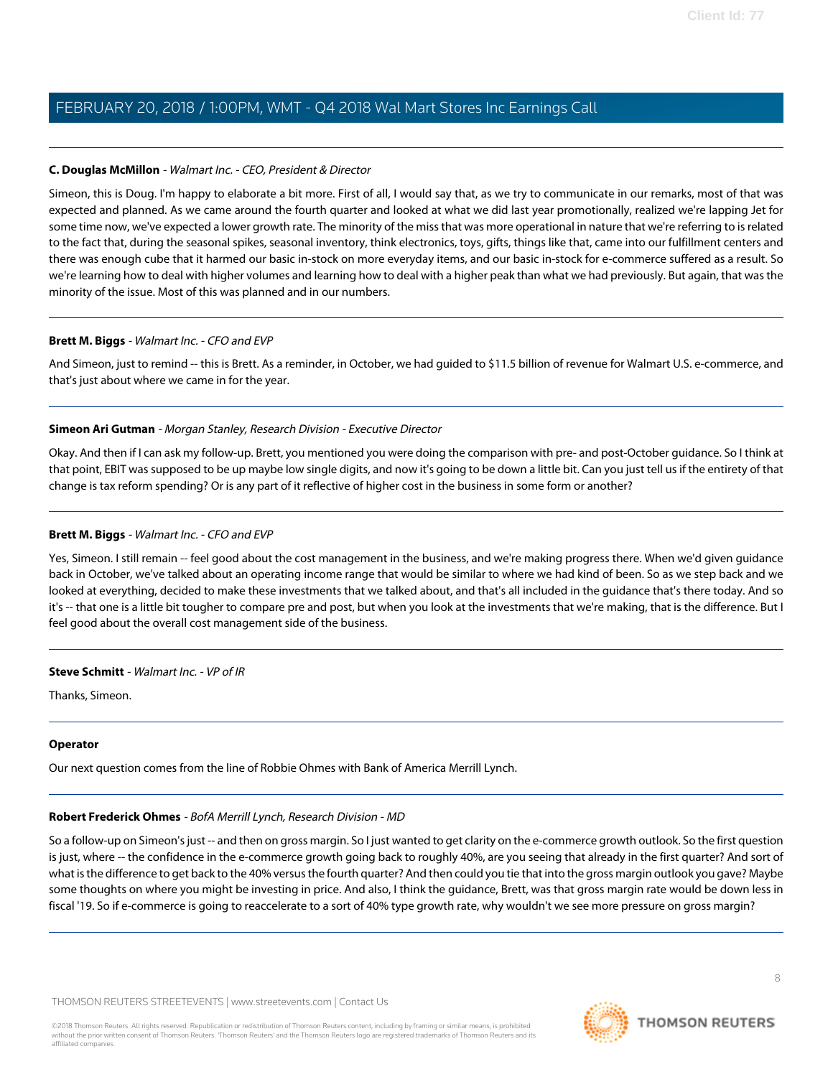# **C. Douglas McMillon** - Walmart Inc. - CEO, President & Director

Simeon, this is Doug. I'm happy to elaborate a bit more. First of all, I would say that, as we try to communicate in our remarks, most of that was expected and planned. As we came around the fourth quarter and looked at what we did last year promotionally, realized we're lapping Jet for some time now, we've expected a lower growth rate. The minority of the miss that was more operational in nature that we're referring to is related to the fact that, during the seasonal spikes, seasonal inventory, think electronics, toys, gifts, things like that, came into our fulfillment centers and there was enough cube that it harmed our basic in-stock on more everyday items, and our basic in-stock for e-commerce suffered as a result. So we're learning how to deal with higher volumes and learning how to deal with a higher peak than what we had previously. But again, that was the minority of the issue. Most of this was planned and in our numbers.

# **Brett M. Biggs** - Walmart Inc. - CFO and EVP

And Simeon, just to remind -- this is Brett. As a reminder, in October, we had guided to \$11.5 billion of revenue for Walmart U.S. e-commerce, and that's just about where we came in for the year.

# **Simeon Ari Gutman** - Morgan Stanley, Research Division - Executive Director

Okay. And then if I can ask my follow-up. Brett, you mentioned you were doing the comparison with pre- and post-October guidance. So I think at that point, EBIT was supposed to be up maybe low single digits, and now it's going to be down a little bit. Can you just tell us if the entirety of that change is tax reform spending? Or is any part of it reflective of higher cost in the business in some form or another?

# **Brett M. Biggs** - Walmart Inc. - CFO and EVP

Yes, Simeon. I still remain -- feel good about the cost management in the business, and we're making progress there. When we'd given guidance back in October, we've talked about an operating income range that would be similar to where we had kind of been. So as we step back and we looked at everything, decided to make these investments that we talked about, and that's all included in the guidance that's there today. And so it's -- that one is a little bit tougher to compare pre and post, but when you look at the investments that we're making, that is the difference. But I feel good about the overall cost management side of the business.

# **Steve Schmitt** - Walmart Inc. - VP of IR

Thanks, Simeon.

# <span id="page-7-0"></span>**Operator**

Our next question comes from the line of Robbie Ohmes with Bank of America Merrill Lynch.

# **Robert Frederick Ohmes** - BofA Merrill Lynch, Research Division - MD

So a follow-up on Simeon's just -- and then on gross margin. So I just wanted to get clarity on the e-commerce growth outlook. So the first question is just, where -- the confidence in the e-commerce growth going back to roughly 40%, are you seeing that already in the first quarter? And sort of what is the difference to get back to the 40% versus the fourth quarter? And then could you tie that into the gross margin outlook you gave? Maybe some thoughts on where you might be investing in price. And also, I think the guidance, Brett, was that gross margin rate would be down less in fiscal '19. So if e-commerce is going to reaccelerate to a sort of 40% type growth rate, why wouldn't we see more pressure on gross margin?

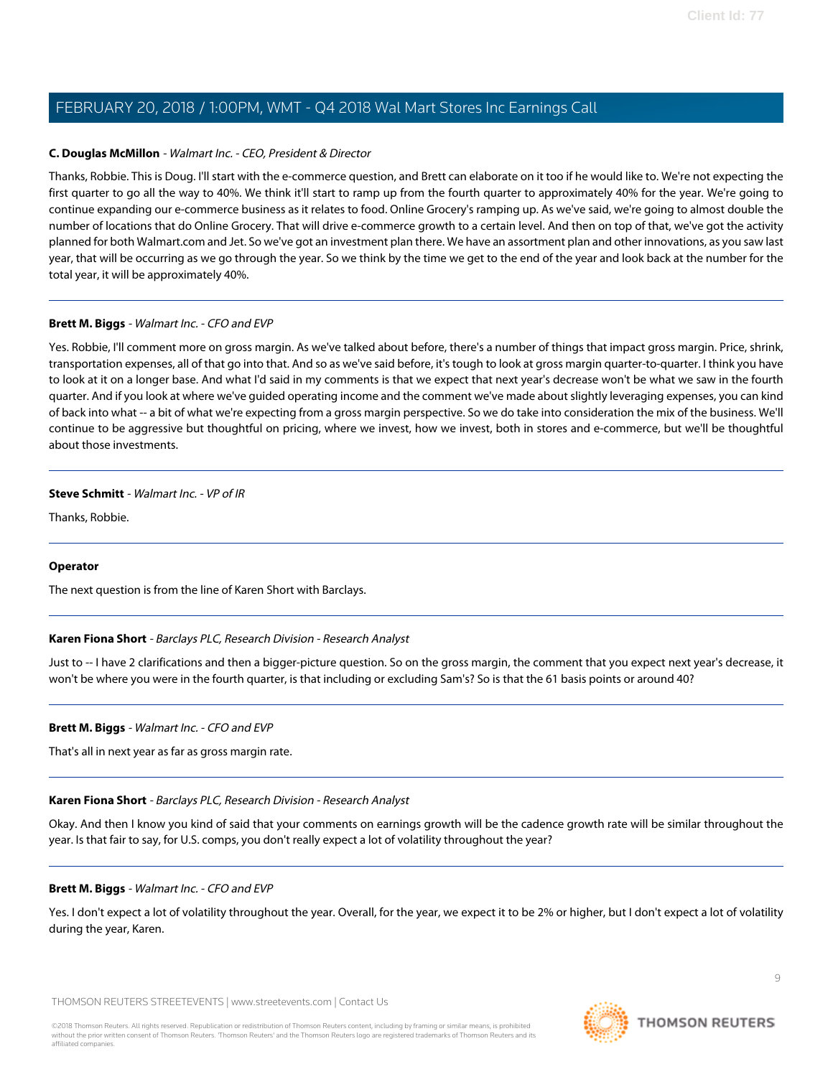# **C. Douglas McMillon** - Walmart Inc. - CEO, President & Director

Thanks, Robbie. This is Doug. I'll start with the e-commerce question, and Brett can elaborate on it too if he would like to. We're not expecting the first quarter to go all the way to 40%. We think it'll start to ramp up from the fourth quarter to approximately 40% for the year. We're going to continue expanding our e-commerce business as it relates to food. Online Grocery's ramping up. As we've said, we're going to almost double the number of locations that do Online Grocery. That will drive e-commerce growth to a certain level. And then on top of that, we've got the activity planned for both Walmart.com and Jet. So we've got an investment plan there. We have an assortment plan and other innovations, as you saw last year, that will be occurring as we go through the year. So we think by the time we get to the end of the year and look back at the number for the total year, it will be approximately 40%.

# **Brett M. Biggs** - Walmart Inc. - CFO and EVP

Yes. Robbie, I'll comment more on gross margin. As we've talked about before, there's a number of things that impact gross margin. Price, shrink, transportation expenses, all of that go into that. And so as we've said before, it's tough to look at gross margin quarter-to-quarter. I think you have to look at it on a longer base. And what I'd said in my comments is that we expect that next year's decrease won't be what we saw in the fourth quarter. And if you look at where we've guided operating income and the comment we've made about slightly leveraging expenses, you can kind of back into what -- a bit of what we're expecting from a gross margin perspective. So we do take into consideration the mix of the business. We'll continue to be aggressive but thoughtful on pricing, where we invest, how we invest, both in stores and e-commerce, but we'll be thoughtful about those investments.

# **Steve Schmitt** - Walmart Inc. - VP of IR

Thanks, Robbie.

# <span id="page-8-0"></span>**Operator**

The next question is from the line of Karen Short with Barclays.

# **Karen Fiona Short** - Barclays PLC, Research Division - Research Analyst

Just to -- I have 2 clarifications and then a bigger-picture question. So on the gross margin, the comment that you expect next year's decrease, it won't be where you were in the fourth quarter, is that including or excluding Sam's? So is that the 61 basis points or around 40?

# **Brett M. Biggs** - Walmart Inc. - CFO and EVP

That's all in next year as far as gross margin rate.

# **Karen Fiona Short** - Barclays PLC, Research Division - Research Analyst

Okay. And then I know you kind of said that your comments on earnings growth will be the cadence growth rate will be similar throughout the year. Is that fair to say, for U.S. comps, you don't really expect a lot of volatility throughout the year?

# **Brett M. Biggs** - Walmart Inc. - CFO and EVP

Yes. I don't expect a lot of volatility throughout the year. Overall, for the year, we expect it to be 2% or higher, but I don't expect a lot of volatility during the year, Karen.

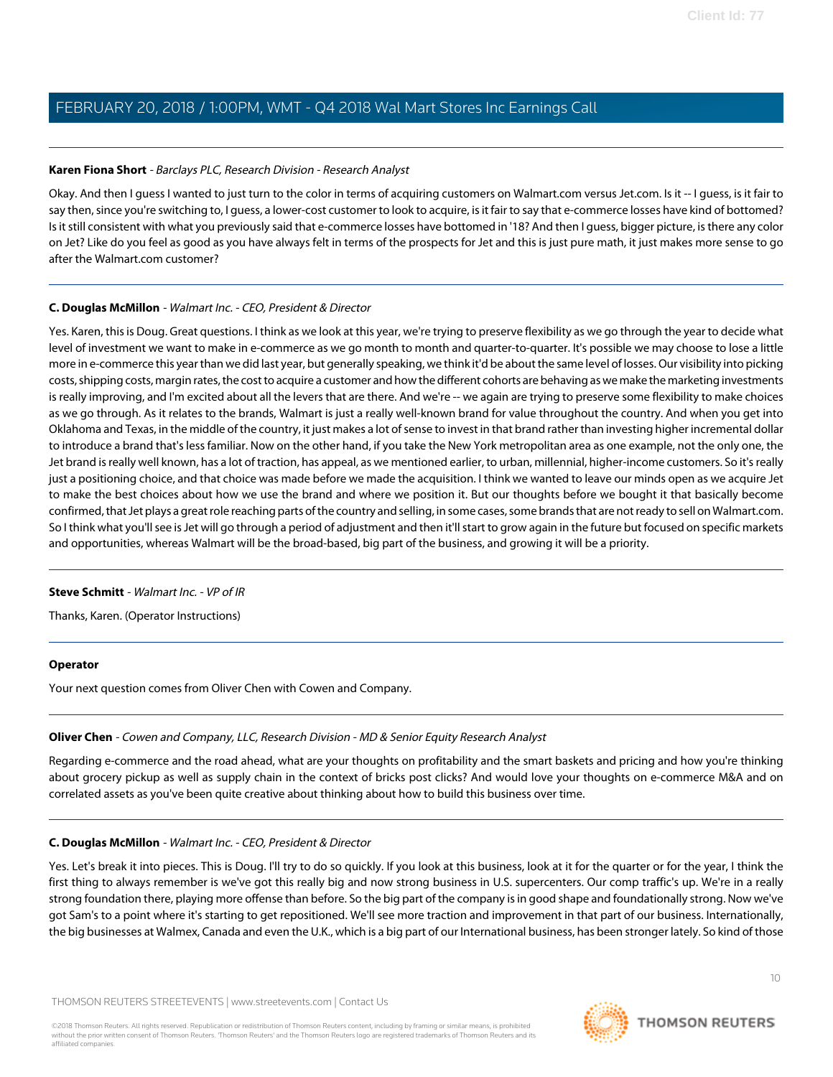# **Karen Fiona Short** - Barclays PLC, Research Division - Research Analyst

Okay. And then I guess I wanted to just turn to the color in terms of acquiring customers on Walmart.com versus Jet.com. Is it -- I guess, is it fair to say then, since you're switching to, I guess, a lower-cost customer to look to acquire, is it fair to say that e-commerce losses have kind of bottomed? Is it still consistent with what you previously said that e-commerce losses have bottomed in '18? And then I guess, bigger picture, is there any color on Jet? Like do you feel as good as you have always felt in terms of the prospects for Jet and this is just pure math, it just makes more sense to go after the Walmart.com customer?

# **C. Douglas McMillon** - Walmart Inc. - CEO, President & Director

Yes. Karen, this is Doug. Great questions. I think as we look at this year, we're trying to preserve flexibility as we go through the year to decide what level of investment we want to make in e-commerce as we go month to month and quarter-to-quarter. It's possible we may choose to lose a little more in e-commerce this year than we did last year, but generally speaking, we think it'd be about the same level of losses. Our visibility into picking costs, shipping costs, margin rates, the cost to acquire a customer and how the different cohorts are behaving as we make the marketing investments is really improving, and I'm excited about all the levers that are there. And we're -- we again are trying to preserve some flexibility to make choices as we go through. As it relates to the brands, Walmart is just a really well-known brand for value throughout the country. And when you get into Oklahoma and Texas, in the middle of the country, it just makes a lot of sense to invest in that brand rather than investing higher incremental dollar to introduce a brand that's less familiar. Now on the other hand, if you take the New York metropolitan area as one example, not the only one, the Jet brand is really well known, has a lot of traction, has appeal, as we mentioned earlier, to urban, millennial, higher-income customers. So it's really just a positioning choice, and that choice was made before we made the acquisition. I think we wanted to leave our minds open as we acquire Jet to make the best choices about how we use the brand and where we position it. But our thoughts before we bought it that basically become confirmed, that Jet plays a great role reaching parts of the country and selling, in some cases, some brands that are not ready to sell on Walmart.com. So I think what you'll see is Jet will go through a period of adjustment and then it'll start to grow again in the future but focused on specific markets and opportunities, whereas Walmart will be the broad-based, big part of the business, and growing it will be a priority.

# **Steve Schmitt** - Walmart Inc. - VP of IR

Thanks, Karen. (Operator Instructions)

# <span id="page-9-0"></span>**Operator**

Your next question comes from Oliver Chen with Cowen and Company.

# **Oliver Chen** - Cowen and Company, LLC, Research Division - MD & Senior Equity Research Analyst

Regarding e-commerce and the road ahead, what are your thoughts on profitability and the smart baskets and pricing and how you're thinking about grocery pickup as well as supply chain in the context of bricks post clicks? And would love your thoughts on e-commerce M&A and on correlated assets as you've been quite creative about thinking about how to build this business over time.

# **C. Douglas McMillon** - Walmart Inc. - CEO, President & Director

Yes. Let's break it into pieces. This is Doug. I'll try to do so quickly. If you look at this business, look at it for the quarter or for the year, I think the first thing to always remember is we've got this really big and now strong business in U.S. supercenters. Our comp traffic's up. We're in a really strong foundation there, playing more offense than before. So the big part of the company is in good shape and foundationally strong. Now we've got Sam's to a point where it's starting to get repositioned. We'll see more traction and improvement in that part of our business. Internationally, the big businesses at Walmex, Canada and even the U.K., which is a big part of our International business, has been stronger lately. So kind of those

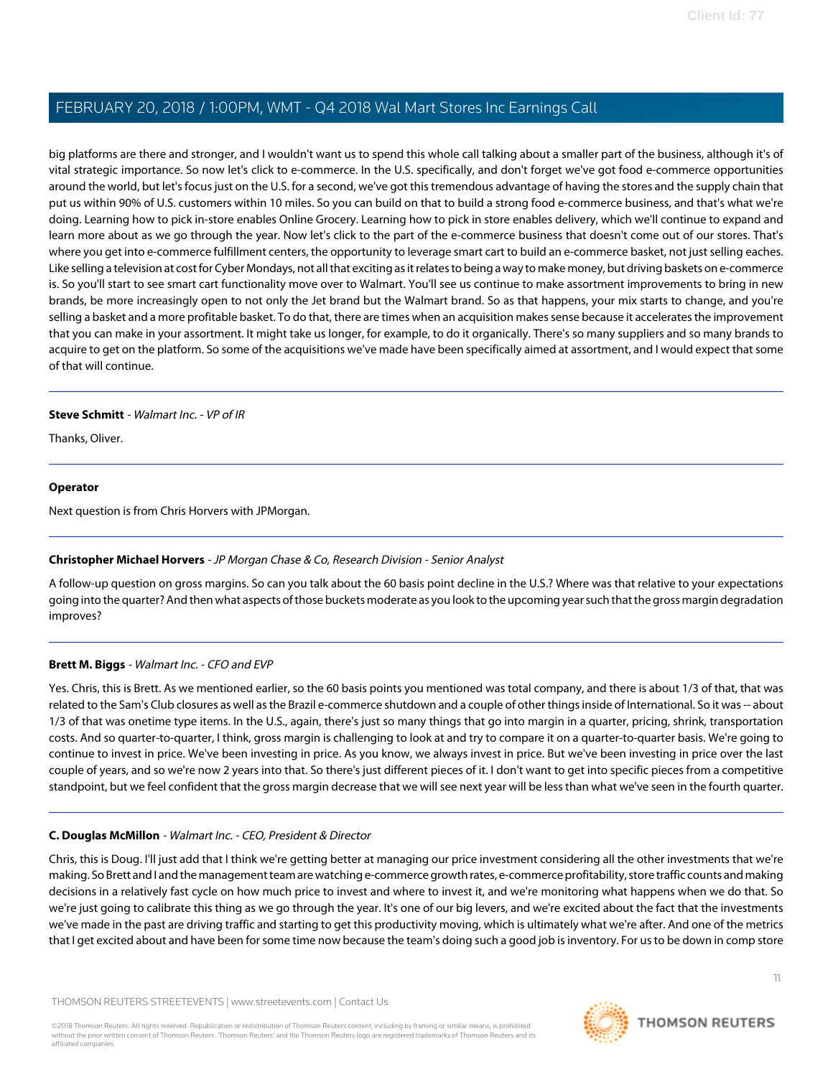big platforms are there and stronger, and I wouldn't want us to spend this whole call talking about a smaller part of the business, although it's of vital strategic importance. So now let's click to e-commerce. In the U.S. specifically, and don't forget we've got food e-commerce opportunities around the world, but let's focus just on the U.S. for a second, we've got this tremendous advantage of having the stores and the supply chain that put us within 90% of U.S. customers within 10 miles. So you can build on that to build a strong food e-commerce business, and that's what we're doing. Learning how to pick in-store enables Online Grocery. Learning how to pick in store enables delivery, which we'll continue to expand and learn more about as we go through the year. Now let's click to the part of the e-commerce business that doesn't come out of our stores. That's where you get into e-commerce fulfillment centers, the opportunity to leverage smart cart to build an e-commerce basket, not just selling eaches. Like selling a television at cost for Cyber Mondays, not all that exciting as it relates to being a way to make money, but driving baskets on e-commerce is. So you'll start to see smart cart functionality move over to Walmart. You'll see us continue to make assortment improvements to bring in new brands, be more increasingly open to not only the Jet brand but the Walmart brand. So as that happens, your mix starts to change, and you're selling a basket and a more profitable basket. To do that, there are times when an acquisition makes sense because it accelerates the improvement that you can make in your assortment. It might take us longer, for example, to do it organically. There's so many suppliers and so many brands to acquire to get on the platform. So some of the acquisitions we've made have been specifically aimed at assortment, and I would expect that some of that will continue.

# **Steve Schmitt** - Walmart Inc. - VP of IR

Thanks, Oliver.

# **Operator**

<span id="page-10-0"></span>Next question is from Chris Horvers with JPMorgan.

# **Christopher Michael Horvers** - JP Morgan Chase & Co, Research Division - Senior Analyst

A follow-up question on gross margins. So can you talk about the 60 basis point decline in the U.S.? Where was that relative to your expectations going into the quarter? And then what aspects of those buckets moderate as you look to the upcoming year such that the gross margin degradation improves?

# **Brett M. Biggs** - Walmart Inc. - CFO and EVP

Yes. Chris, this is Brett. As we mentioned earlier, so the 60 basis points you mentioned was total company, and there is about 1/3 of that, that was related to the Sam's Club closures as well as the Brazil e-commerce shutdown and a couple of other things inside of International. So it was -- about 1/3 of that was onetime type items. In the U.S., again, there's just so many things that go into margin in a quarter, pricing, shrink, transportation costs. And so quarter-to-quarter, I think, gross margin is challenging to look at and try to compare it on a quarter-to-quarter basis. We're going to continue to invest in price. We've been investing in price. As you know, we always invest in price. But we've been investing in price over the last couple of years, and so we're now 2 years into that. So there's just different pieces of it. I don't want to get into specific pieces from a competitive standpoint, but we feel confident that the gross margin decrease that we will see next year will be less than what we've seen in the fourth quarter.

# **C. Douglas McMillon** - Walmart Inc. - CEO, President & Director

Chris, this is Doug. I'll just add that I think we're getting better at managing our price investment considering all the other investments that we're making. So Brett and I and the management team are watching e-commerce growth rates, e-commerce profitability, store traffic counts and making decisions in a relatively fast cycle on how much price to invest and where to invest it, and we're monitoring what happens when we do that. So we're just going to calibrate this thing as we go through the year. It's one of our big levers, and we're excited about the fact that the investments we've made in the past are driving traffic and starting to get this productivity moving, which is ultimately what we're after. And one of the metrics that I get excited about and have been for some time now because the team's doing such a good job is inventory. For us to be down in comp store

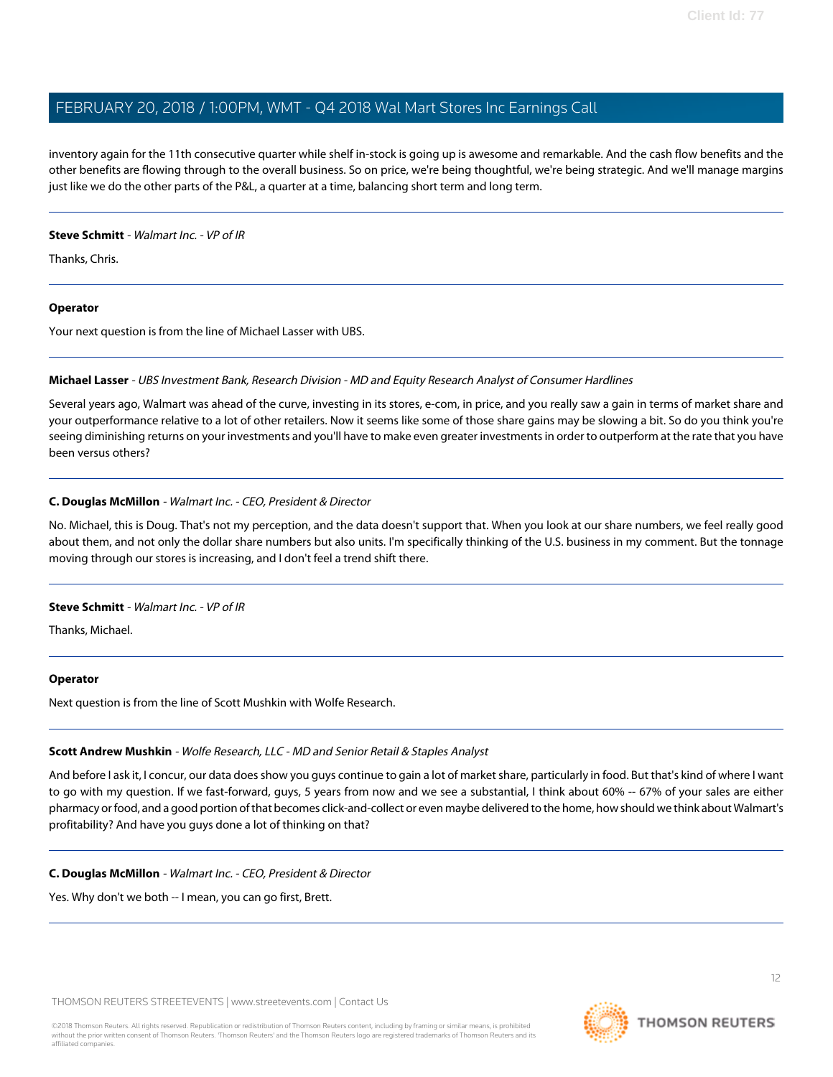inventory again for the 11th consecutive quarter while shelf in-stock is going up is awesome and remarkable. And the cash flow benefits and the other benefits are flowing through to the overall business. So on price, we're being thoughtful, we're being strategic. And we'll manage margins just like we do the other parts of the P&L, a quarter at a time, balancing short term and long term.

# **Steve Schmitt** - Walmart Inc. - VP of IR

Thanks, Chris.

# **Operator**

<span id="page-11-0"></span>Your next question is from the line of Michael Lasser with UBS.

# **Michael Lasser** - UBS Investment Bank, Research Division - MD and Equity Research Analyst of Consumer Hardlines

Several years ago, Walmart was ahead of the curve, investing in its stores, e-com, in price, and you really saw a gain in terms of market share and your outperformance relative to a lot of other retailers. Now it seems like some of those share gains may be slowing a bit. So do you think you're seeing diminishing returns on your investments and you'll have to make even greater investments in order to outperform at the rate that you have been versus others?

# **C. Douglas McMillon** - Walmart Inc. - CEO, President & Director

No. Michael, this is Doug. That's not my perception, and the data doesn't support that. When you look at our share numbers, we feel really good about them, and not only the dollar share numbers but also units. I'm specifically thinking of the U.S. business in my comment. But the tonnage moving through our stores is increasing, and I don't feel a trend shift there.

# **Steve Schmitt** - Walmart Inc. - VP of IR

Thanks, Michael.

# <span id="page-11-1"></span>**Operator**

Next question is from the line of Scott Mushkin with Wolfe Research.

# **Scott Andrew Mushkin** - Wolfe Research, LLC - MD and Senior Retail & Staples Analyst

And before I ask it, I concur, our data does show you guys continue to gain a lot of market share, particularly in food. But that's kind of where I want to go with my question. If we fast-forward, guys, 5 years from now and we see a substantial, I think about 60% -- 67% of your sales are either pharmacy or food, and a good portion of that becomes click-and-collect or even maybe delivered to the home, how should we think about Walmart's profitability? And have you guys done a lot of thinking on that?

# **C. Douglas McMillon** - Walmart Inc. - CEO, President & Director

Yes. Why don't we both -- I mean, you can go first, Brett.

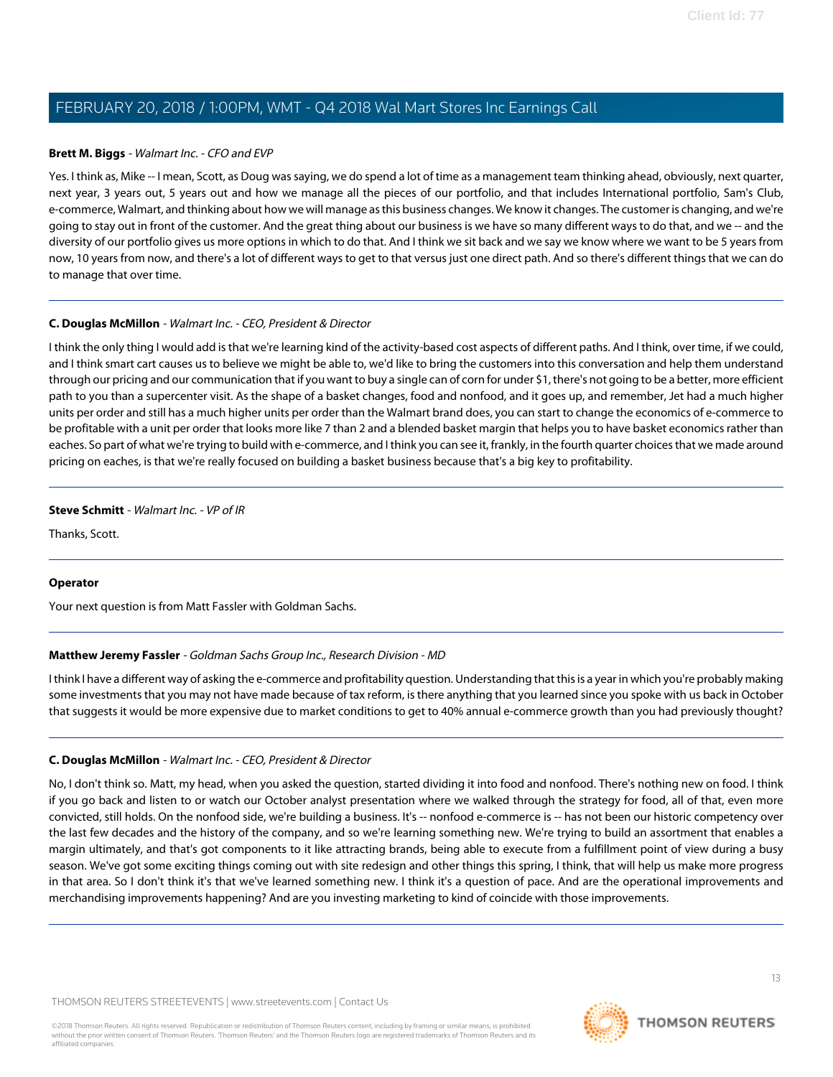# **Brett M. Biggs** - Walmart Inc. - CFO and EVP

Yes. I think as, Mike -- I mean, Scott, as Doug was saying, we do spend a lot of time as a management team thinking ahead, obviously, next quarter, next year, 3 years out, 5 years out and how we manage all the pieces of our portfolio, and that includes International portfolio, Sam's Club, e-commerce, Walmart, and thinking about how we will manage as this business changes. We know it changes. The customer is changing, and we're going to stay out in front of the customer. And the great thing about our business is we have so many different ways to do that, and we -- and the diversity of our portfolio gives us more options in which to do that. And I think we sit back and we say we know where we want to be 5 years from now, 10 years from now, and there's a lot of different ways to get to that versus just one direct path. And so there's different things that we can do to manage that over time.

# **C. Douglas McMillon** - Walmart Inc. - CEO, President & Director

I think the only thing I would add is that we're learning kind of the activity-based cost aspects of different paths. And I think, over time, if we could, and I think smart cart causes us to believe we might be able to, we'd like to bring the customers into this conversation and help them understand through our pricing and our communication that if you want to buy a single can of corn for under \$1, there's not going to be a better, more efficient path to you than a supercenter visit. As the shape of a basket changes, food and nonfood, and it goes up, and remember, Jet had a much higher units per order and still has a much higher units per order than the Walmart brand does, you can start to change the economics of e-commerce to be profitable with a unit per order that looks more like 7 than 2 and a blended basket margin that helps you to have basket economics rather than eaches. So part of what we're trying to build with e-commerce, and I think you can see it, frankly, in the fourth quarter choices that we made around pricing on eaches, is that we're really focused on building a basket business because that's a big key to profitability.

# **Steve Schmitt** - Walmart Inc. - VP of IR

Thanks, Scott.

# <span id="page-12-0"></span>**Operator**

Your next question is from Matt Fassler with Goldman Sachs.

# **Matthew Jeremy Fassler** - Goldman Sachs Group Inc., Research Division - MD

I think I have a different way of asking the e-commerce and profitability question. Understanding that this is a year in which you're probably making some investments that you may not have made because of tax reform, is there anything that you learned since you spoke with us back in October that suggests it would be more expensive due to market conditions to get to 40% annual e-commerce growth than you had previously thought?

# **C. Douglas McMillon** - Walmart Inc. - CEO, President & Director

No, I don't think so. Matt, my head, when you asked the question, started dividing it into food and nonfood. There's nothing new on food. I think if you go back and listen to or watch our October analyst presentation where we walked through the strategy for food, all of that, even more convicted, still holds. On the nonfood side, we're building a business. It's -- nonfood e-commerce is -- has not been our historic competency over the last few decades and the history of the company, and so we're learning something new. We're trying to build an assortment that enables a margin ultimately, and that's got components to it like attracting brands, being able to execute from a fulfillment point of view during a busy season. We've got some exciting things coming out with site redesign and other things this spring, I think, that will help us make more progress in that area. So I don't think it's that we've learned something new. I think it's a question of pace. And are the operational improvements and merchandising improvements happening? And are you investing marketing to kind of coincide with those improvements.

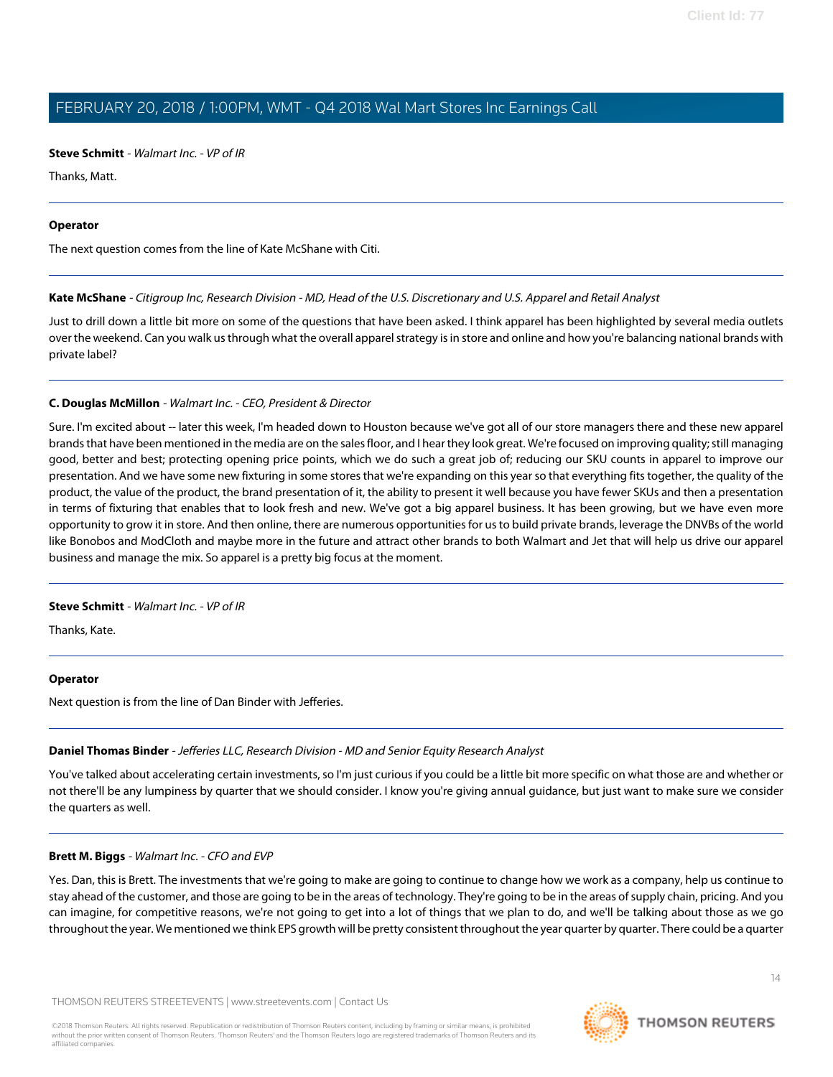# **Steve Schmitt** - Walmart Inc. - VP of IR

Thanks, Matt.

#### **Operator**

<span id="page-13-1"></span>The next question comes from the line of Kate McShane with Citi.

# **Kate McShane** - Citigroup Inc, Research Division - MD, Head of the U.S. Discretionary and U.S. Apparel and Retail Analyst

Just to drill down a little bit more on some of the questions that have been asked. I think apparel has been highlighted by several media outlets over the weekend. Can you walk us through what the overall apparel strategy is in store and online and how you're balancing national brands with private label?

# **C. Douglas McMillon** - Walmart Inc. - CEO, President & Director

Sure. I'm excited about -- later this week, I'm headed down to Houston because we've got all of our store managers there and these new apparel brands that have been mentioned in the media are on the sales floor, and I hear they look great. We're focused on improving quality; still managing good, better and best; protecting opening price points, which we do such a great job of; reducing our SKU counts in apparel to improve our presentation. And we have some new fixturing in some stores that we're expanding on this year so that everything fits together, the quality of the product, the value of the product, the brand presentation of it, the ability to present it well because you have fewer SKUs and then a presentation in terms of fixturing that enables that to look fresh and new. We've got a big apparel business. It has been growing, but we have even more opportunity to grow it in store. And then online, there are numerous opportunities for us to build private brands, leverage the DNVBs of the world like Bonobos and ModCloth and maybe more in the future and attract other brands to both Walmart and Jet that will help us drive our apparel business and manage the mix. So apparel is a pretty big focus at the moment.

# **Steve Schmitt** - Walmart Inc. - VP of IR

Thanks, Kate.

# <span id="page-13-0"></span>**Operator**

Next question is from the line of Dan Binder with Jefferies.

# **Daniel Thomas Binder** - Jefferies LLC, Research Division - MD and Senior Equity Research Analyst

You've talked about accelerating certain investments, so I'm just curious if you could be a little bit more specific on what those are and whether or not there'll be any lumpiness by quarter that we should consider. I know you're giving annual guidance, but just want to make sure we consider the quarters as well.

# **Brett M. Biggs** - Walmart Inc. - CFO and EVP

Yes. Dan, this is Brett. The investments that we're going to make are going to continue to change how we work as a company, help us continue to stay ahead of the customer, and those are going to be in the areas of technology. They're going to be in the areas of supply chain, pricing. And you can imagine, for competitive reasons, we're not going to get into a lot of things that we plan to do, and we'll be talking about those as we go throughout the year. We mentioned we think EPS growth will be pretty consistent throughout the year quarter by quarter. There could be a quarter

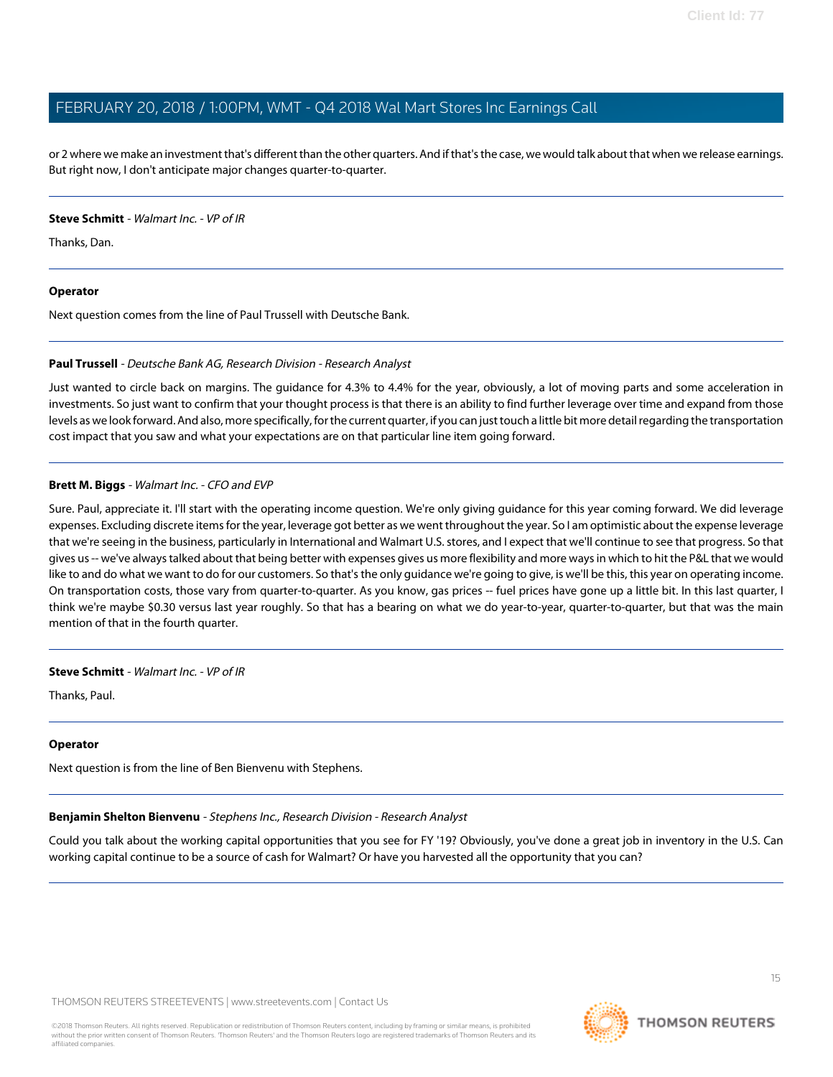or 2 where we make an investment that's different than the other quarters. And if that's the case, we would talk about that when we release earnings. But right now, I don't anticipate major changes quarter-to-quarter.

# **Steve Schmitt** - Walmart Inc. - VP of IR

Thanks, Dan.

# **Operator**

<span id="page-14-1"></span>Next question comes from the line of Paul Trussell with Deutsche Bank.

# **Paul Trussell** - Deutsche Bank AG, Research Division - Research Analyst

Just wanted to circle back on margins. The guidance for 4.3% to 4.4% for the year, obviously, a lot of moving parts and some acceleration in investments. So just want to confirm that your thought process is that there is an ability to find further leverage over time and expand from those levels as we look forward. And also, more specifically, for the current quarter, if you can just touch a little bit more detail regarding the transportation cost impact that you saw and what your expectations are on that particular line item going forward.

# **Brett M. Biggs** - Walmart Inc. - CFO and EVP

Sure. Paul, appreciate it. I'll start with the operating income question. We're only giving guidance for this year coming forward. We did leverage expenses. Excluding discrete items for the year, leverage got better as we went throughout the year. So I am optimistic about the expense leverage that we're seeing in the business, particularly in International and Walmart U.S. stores, and I expect that we'll continue to see that progress. So that gives us -- we've always talked about that being better with expenses gives us more flexibility and more ways in which to hit the P&L that we would like to and do what we want to do for our customers. So that's the only guidance we're going to give, is we'll be this, this year on operating income. On transportation costs, those vary from quarter-to-quarter. As you know, gas prices -- fuel prices have gone up a little bit. In this last quarter, I think we're maybe \$0.30 versus last year roughly. So that has a bearing on what we do year-to-year, quarter-to-quarter, but that was the main mention of that in the fourth quarter.

**Steve Schmitt** - Walmart Inc. - VP of IR

Thanks, Paul.

# <span id="page-14-0"></span>**Operator**

Next question is from the line of Ben Bienvenu with Stephens.

# **Benjamin Shelton Bienvenu** - Stephens Inc., Research Division - Research Analyst

Could you talk about the working capital opportunities that you see for FY '19? Obviously, you've done a great job in inventory in the U.S. Can working capital continue to be a source of cash for Walmart? Or have you harvested all the opportunity that you can?



15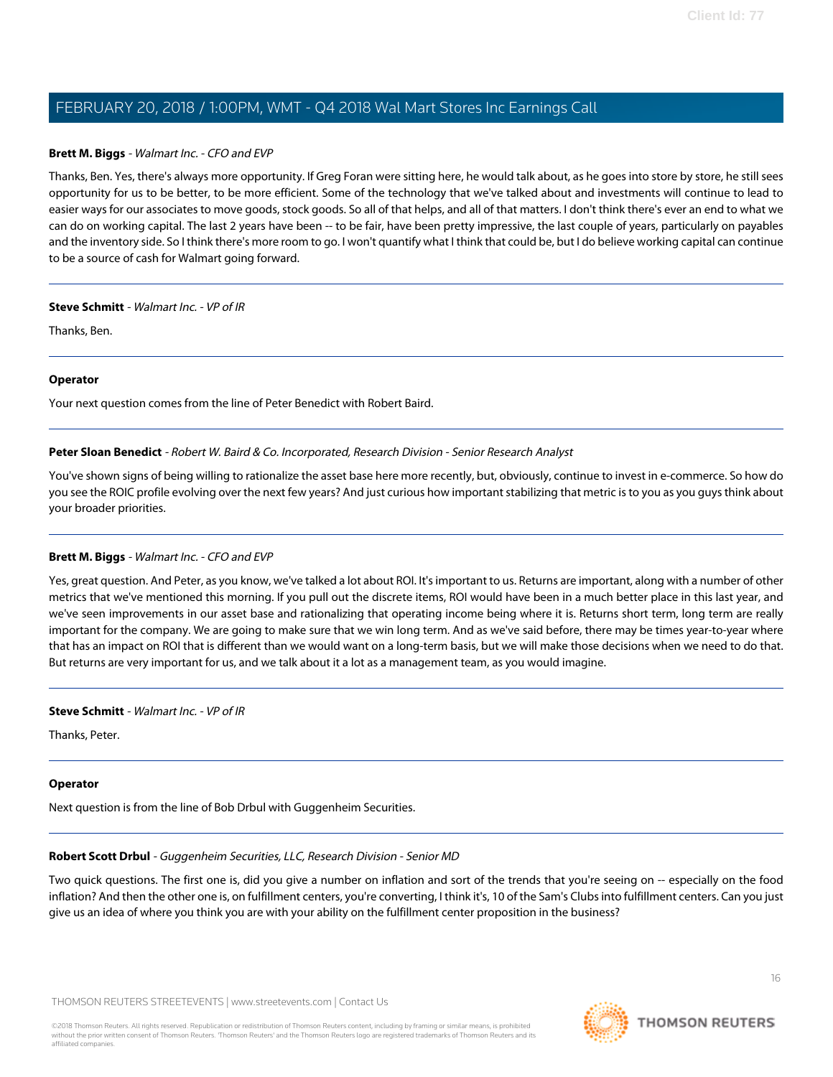# **Brett M. Biggs** - Walmart Inc. - CFO and EVP

Thanks, Ben. Yes, there's always more opportunity. If Greg Foran were sitting here, he would talk about, as he goes into store by store, he still sees opportunity for us to be better, to be more efficient. Some of the technology that we've talked about and investments will continue to lead to easier ways for our associates to move goods, stock goods. So all of that helps, and all of that matters. I don't think there's ever an end to what we can do on working capital. The last 2 years have been -- to be fair, have been pretty impressive, the last couple of years, particularly on payables and the inventory side. So I think there's more room to go. I won't quantify what I think that could be, but I do believe working capital can continue to be a source of cash for Walmart going forward.

#### **Steve Schmitt** - Walmart Inc. - VP of IR

Thanks, Ben.

# **Operator**

<span id="page-15-0"></span>Your next question comes from the line of Peter Benedict with Robert Baird.

#### **Peter Sloan Benedict** - Robert W. Baird & Co. Incorporated, Research Division - Senior Research Analyst

You've shown signs of being willing to rationalize the asset base here more recently, but, obviously, continue to invest in e-commerce. So how do you see the ROIC profile evolving over the next few years? And just curious how important stabilizing that metric is to you as you guys think about your broader priorities.

# **Brett M. Biggs** - Walmart Inc. - CFO and EVP

Yes, great question. And Peter, as you know, we've talked a lot about ROI. It's important to us. Returns are important, along with a number of other metrics that we've mentioned this morning. If you pull out the discrete items, ROI would have been in a much better place in this last year, and we've seen improvements in our asset base and rationalizing that operating income being where it is. Returns short term, long term are really important for the company. We are going to make sure that we win long term. And as we've said before, there may be times year-to-year where that has an impact on ROI that is different than we would want on a long-term basis, but we will make those decisions when we need to do that. But returns are very important for us, and we talk about it a lot as a management team, as you would imagine.

#### **Steve Schmitt** - Walmart Inc. - VP of IR

Thanks, Peter.

# <span id="page-15-1"></span>**Operator**

Next question is from the line of Bob Drbul with Guggenheim Securities.

# **Robert Scott Drbul** - Guggenheim Securities, LLC, Research Division - Senior MD

Two quick questions. The first one is, did you give a number on inflation and sort of the trends that you're seeing on -- especially on the food inflation? And then the other one is, on fulfillment centers, you're converting, I think it's, 10 of the Sam's Clubs into fulfillment centers. Can you just give us an idea of where you think you are with your ability on the fulfillment center proposition in the business?

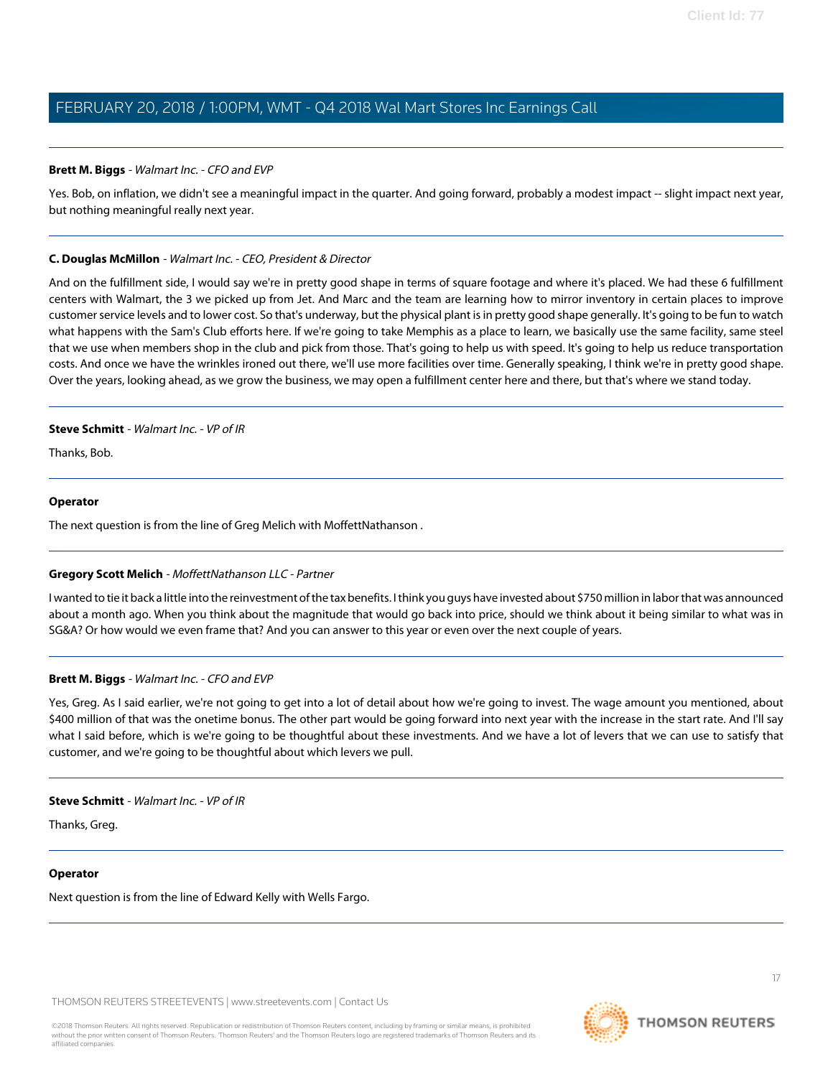# **Brett M. Biggs** - Walmart Inc. - CFO and EVP

Yes. Bob, on inflation, we didn't see a meaningful impact in the quarter. And going forward, probably a modest impact -- slight impact next year, but nothing meaningful really next year.

# **C. Douglas McMillon** - Walmart Inc. - CEO, President & Director

And on the fulfillment side, I would say we're in pretty good shape in terms of square footage and where it's placed. We had these 6 fulfillment centers with Walmart, the 3 we picked up from Jet. And Marc and the team are learning how to mirror inventory in certain places to improve customer service levels and to lower cost. So that's underway, but the physical plant is in pretty good shape generally. It's going to be fun to watch what happens with the Sam's Club efforts here. If we're going to take Memphis as a place to learn, we basically use the same facility, same steel that we use when members shop in the club and pick from those. That's going to help us with speed. It's going to help us reduce transportation costs. And once we have the wrinkles ironed out there, we'll use more facilities over time. Generally speaking, I think we're in pretty good shape. Over the years, looking ahead, as we grow the business, we may open a fulfillment center here and there, but that's where we stand today.

# **Steve Schmitt** - Walmart Inc. - VP of IR

Thanks, Bob.

# **Operator**

<span id="page-16-0"></span>The next question is from the line of Greg Melich with MoffettNathanson .

# **Gregory Scott Melich** - MoffettNathanson LLC - Partner

I wanted to tie it back a little into the reinvestment of the tax benefits. I think you guys have invested about \$750 million in labor that was announced about a month ago. When you think about the magnitude that would go back into price, should we think about it being similar to what was in SG&A? Or how would we even frame that? And you can answer to this year or even over the next couple of years.

# **Brett M. Biggs** - Walmart Inc. - CFO and EVP

Yes, Greg. As I said earlier, we're not going to get into a lot of detail about how we're going to invest. The wage amount you mentioned, about \$400 million of that was the onetime bonus. The other part would be going forward into next year with the increase in the start rate. And I'll say what I said before, which is we're going to be thoughtful about these investments. And we have a lot of levers that we can use to satisfy that customer, and we're going to be thoughtful about which levers we pull.

# **Steve Schmitt** - Walmart Inc. - VP of IR

Thanks, Greg.

# **Operator**

Next question is from the line of Edward Kelly with Wells Fargo.



**THOMSON REUTERS**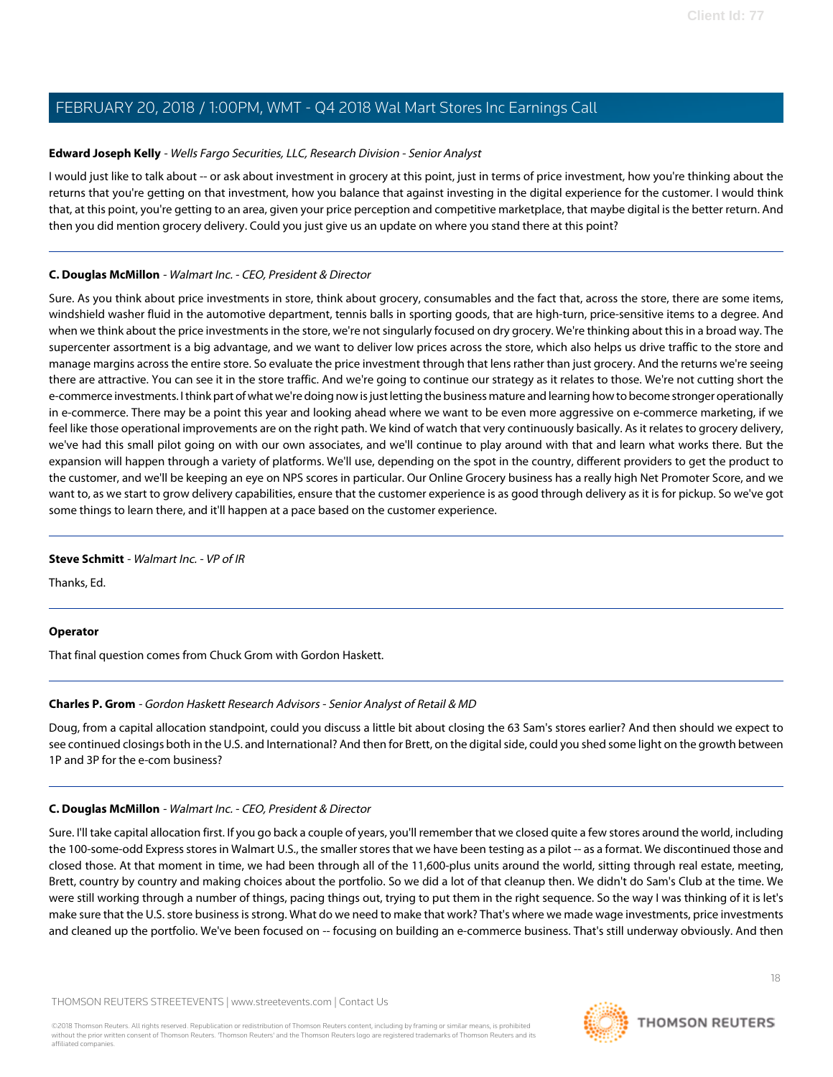# <span id="page-17-1"></span>**Edward Joseph Kelly** - Wells Fargo Securities, LLC, Research Division - Senior Analyst

I would just like to talk about -- or ask about investment in grocery at this point, just in terms of price investment, how you're thinking about the returns that you're getting on that investment, how you balance that against investing in the digital experience for the customer. I would think that, at this point, you're getting to an area, given your price perception and competitive marketplace, that maybe digital is the better return. And then you did mention grocery delivery. Could you just give us an update on where you stand there at this point?

# **C. Douglas McMillon** - Walmart Inc. - CEO, President & Director

Sure. As you think about price investments in store, think about grocery, consumables and the fact that, across the store, there are some items, windshield washer fluid in the automotive department, tennis balls in sporting goods, that are high-turn, price-sensitive items to a degree. And when we think about the price investments in the store, we're not singularly focused on dry grocery. We're thinking about this in a broad way. The supercenter assortment is a big advantage, and we want to deliver low prices across the store, which also helps us drive traffic to the store and manage margins across the entire store. So evaluate the price investment through that lens rather than just grocery. And the returns we're seeing there are attractive. You can see it in the store traffic. And we're going to continue our strategy as it relates to those. We're not cutting short the e-commerce investments. I think part of what we're doing now is just letting the business mature and learning how to become stronger operationally in e-commerce. There may be a point this year and looking ahead where we want to be even more aggressive on e-commerce marketing, if we feel like those operational improvements are on the right path. We kind of watch that very continuously basically. As it relates to grocery delivery, we've had this small pilot going on with our own associates, and we'll continue to play around with that and learn what works there. But the expansion will happen through a variety of platforms. We'll use, depending on the spot in the country, different providers to get the product to the customer, and we'll be keeping an eye on NPS scores in particular. Our Online Grocery business has a really high Net Promoter Score, and we want to, as we start to grow delivery capabilities, ensure that the customer experience is as good through delivery as it is for pickup. So we've got some things to learn there, and it'll happen at a pace based on the customer experience.

# **Steve Schmitt** - Walmart Inc. - VP of IR

Thanks, Ed.

# <span id="page-17-0"></span>**Operator**

That final question comes from Chuck Grom with Gordon Haskett.

# **Charles P. Grom** - Gordon Haskett Research Advisors - Senior Analyst of Retail & MD

Doug, from a capital allocation standpoint, could you discuss a little bit about closing the 63 Sam's stores earlier? And then should we expect to see continued closings both in the U.S. and International? And then for Brett, on the digital side, could you shed some light on the growth between 1P and 3P for the e-com business?

# **C. Douglas McMillon** - Walmart Inc. - CEO, President & Director

Sure. I'll take capital allocation first. If you go back a couple of years, you'll remember that we closed quite a few stores around the world, including the 100-some-odd Express stores in Walmart U.S., the smaller stores that we have been testing as a pilot -- as a format. We discontinued those and closed those. At that moment in time, we had been through all of the 11,600-plus units around the world, sitting through real estate, meeting, Brett, country by country and making choices about the portfolio. So we did a lot of that cleanup then. We didn't do Sam's Club at the time. We were still working through a number of things, pacing things out, trying to put them in the right sequence. So the way I was thinking of it is let's make sure that the U.S. store business is strong. What do we need to make that work? That's where we made wage investments, price investments and cleaned up the portfolio. We've been focused on -- focusing on building an e-commerce business. That's still underway obviously. And then